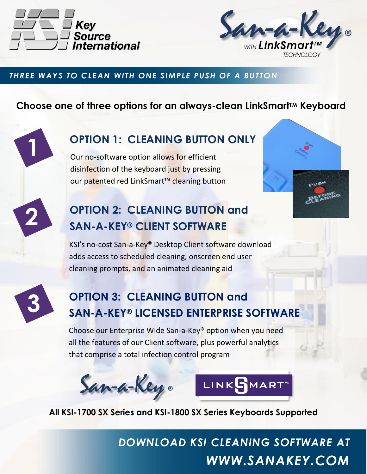



### *THREE WAYS TO CLEAN WITH ONE SIMPLE PUSH OF A BUTTON*

## **Choose one of three options for an always-clean LinkSmartTM Keyboard**

**OPTION 1: CLEANING BUTTON ONLY**

Our no-software option allows for efficient disinfection of the keyboard just by pressing our patented red LinkSmart™ cleaning button

# **OPTION 2: CLEANING BUTTON and SAN-A-KEY® CLIENT SOFTWARE**

KSI's no-cost San-a-Key® Desktop Client software download adds access to scheduled cleaning, onscreen end user cleaning prompts, and an animated cleaning aid



**2**

**1**

# **OPTION 3: CLEANING BUTTON and SAN-A-KEY® LICENSED ENTERPRISE SOFTWARE**

Choose our Enterprise Wide San-a-Key® option when you need all the features of our Client software, plus powerful analytics that comprise a total infection control program





**All KSI-1700 SX Series and KSI-1800 SX Series Keyboards Supported**

*DOWNLOAD KSI CLEANING SOFTWARE AT WWW.SANAKEY.COM*